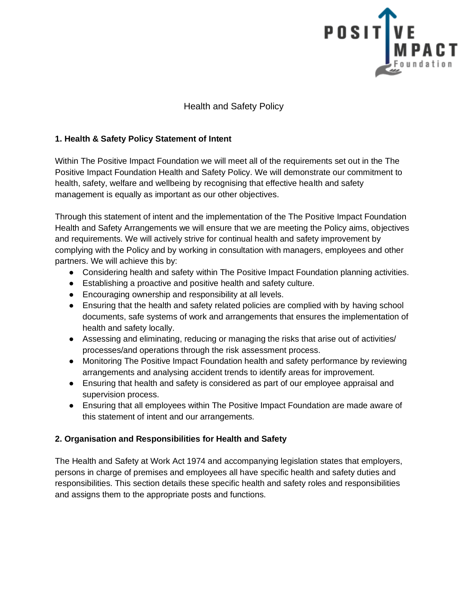

Health and Safety Policy

## **1. Health & Safety Policy Statement of Intent**

Within The Positive Impact Foundation we will meet all of the requirements set out in the The Positive Impact Foundation Health and Safety Policy. We will demonstrate our commitment to health, safety, welfare and wellbeing by recognising that effective health and safety management is equally as important as our other objectives.

Through this statement of intent and the implementation of the The Positive Impact Foundation Health and Safety Arrangements we will ensure that we are meeting the Policy aims, objectives and requirements. We will actively strive for continual health and safety improvement by complying with the Policy and by working in consultation with managers, employees and other partners. We will achieve this by:

- Considering health and safety within The Positive Impact Foundation planning activities.
- Establishing a proactive and positive health and safety culture.
- Encouraging ownership and responsibility at all levels.
- Ensuring that the health and safety related policies are complied with by having school documents, safe systems of work and arrangements that ensures the implementation of health and safety locally.
- Assessing and eliminating, reducing or managing the risks that arise out of activities/ processes/and operations through the risk assessment process.
- Monitoring The Positive Impact Foundation health and safety performance by reviewing arrangements and analysing accident trends to identify areas for improvement.
- Ensuring that health and safety is considered as part of our employee appraisal and supervision process.
- Ensuring that all employees within The Positive Impact Foundation are made aware of this statement of intent and our arrangements.

#### **2. Organisation and Responsibilities for Health and Safety**

The Health and Safety at Work Act 1974 and accompanying legislation states that employers, persons in charge of premises and employees all have specific health and safety duties and responsibilities. This section details these specific health and safety roles and responsibilities and assigns them to the appropriate posts and functions.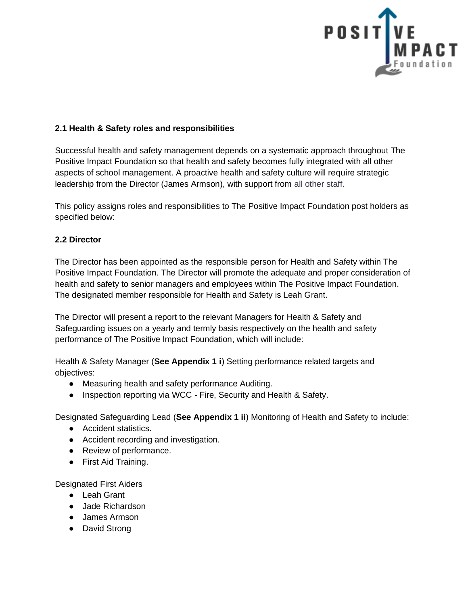

### **2.1 Health & Safety roles and responsibilities**

Successful health and safety management depends on a systematic approach throughout The Positive Impact Foundation so that health and safety becomes fully integrated with all other aspects of school management. A proactive health and safety culture will require strategic leadership from the Director (James Armson), with support from all other staff.

This policy assigns roles and responsibilities to The Positive Impact Foundation post holders as specified below:

#### **2.2 Director**

The Director has been appointed as the responsible person for Health and Safety within The Positive Impact Foundation. The Director will promote the adequate and proper consideration of health and safety to senior managers and employees within The Positive Impact Foundation. The designated member responsible for Health and Safety is Leah Grant.

The Director will present a report to the relevant Managers for Health & Safety and Safeguarding issues on a yearly and termly basis respectively on the health and safety performance of The Positive Impact Foundation, which will include:

Health & Safety Manager (**See Appendix 1 i**) Setting performance related targets and objectives:

- Measuring health and safety performance Auditing.
- Inspection reporting via WCC Fire, Security and Health & Safety.

Designated Safeguarding Lead (**See Appendix 1 ii**) Monitoring of Health and Safety to include:

- Accident statistics.
- Accident recording and investigation.
- Review of performance.
- First Aid Training.

Designated First Aiders

- Leah Grant
- Jade Richardson
- James Armson
- David Strong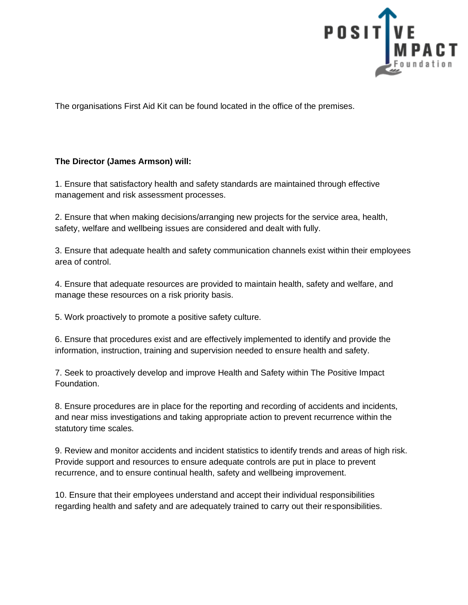

The organisations First Aid Kit can be found located in the office of the premises.

### **The Director (James Armson) will:**

1. Ensure that satisfactory health and safety standards are maintained through effective management and risk assessment processes.

2. Ensure that when making decisions/arranging new projects for the service area, health, safety, welfare and wellbeing issues are considered and dealt with fully.

3. Ensure that adequate health and safety communication channels exist within their employees area of control.

4. Ensure that adequate resources are provided to maintain health, safety and welfare, and manage these resources on a risk priority basis.

5. Work proactively to promote a positive safety culture.

6. Ensure that procedures exist and are effectively implemented to identify and provide the information, instruction, training and supervision needed to ensure health and safety.

7. Seek to proactively develop and improve Health and Safety within The Positive Impact Foundation.

8. Ensure procedures are in place for the reporting and recording of accidents and incidents, and near miss investigations and taking appropriate action to prevent recurrence within the statutory time scales.

9. Review and monitor accidents and incident statistics to identify trends and areas of high risk. Provide support and resources to ensure adequate controls are put in place to prevent recurrence, and to ensure continual health, safety and wellbeing improvement.

10. Ensure that their employees understand and accept their individual responsibilities regarding health and safety and are adequately trained to carry out their responsibilities.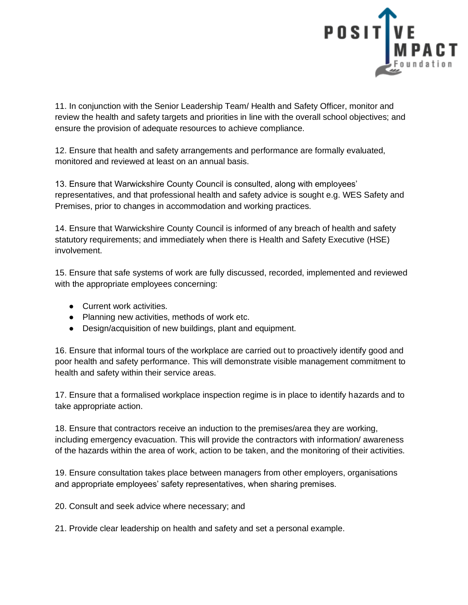

11. In conjunction with the Senior Leadership Team/ Health and Safety Officer, monitor and review the health and safety targets and priorities in line with the overall school objectives; and ensure the provision of adequate resources to achieve compliance.

12. Ensure that health and safety arrangements and performance are formally evaluated, monitored and reviewed at least on an annual basis.

13. Ensure that Warwickshire County Council is consulted, along with employees' representatives, and that professional health and safety advice is sought e.g. WES Safety and Premises, prior to changes in accommodation and working practices.

14. Ensure that Warwickshire County Council is informed of any breach of health and safety statutory requirements; and immediately when there is Health and Safety Executive (HSE) involvement.

15. Ensure that safe systems of work are fully discussed, recorded, implemented and reviewed with the appropriate employees concerning:

- Current work activities.
- Planning new activities, methods of work etc.
- Design/acquisition of new buildings, plant and equipment.

16. Ensure that informal tours of the workplace are carried out to proactively identify good and poor health and safety performance. This will demonstrate visible management commitment to health and safety within their service areas.

17. Ensure that a formalised workplace inspection regime is in place to identify hazards and to take appropriate action.

18. Ensure that contractors receive an induction to the premises/area they are working, including emergency evacuation. This will provide the contractors with information/ awareness of the hazards within the area of work, action to be taken, and the monitoring of their activities.

19. Ensure consultation takes place between managers from other employers, organisations and appropriate employees' safety representatives, when sharing premises.

20. Consult and seek advice where necessary; and

21. Provide clear leadership on health and safety and set a personal example.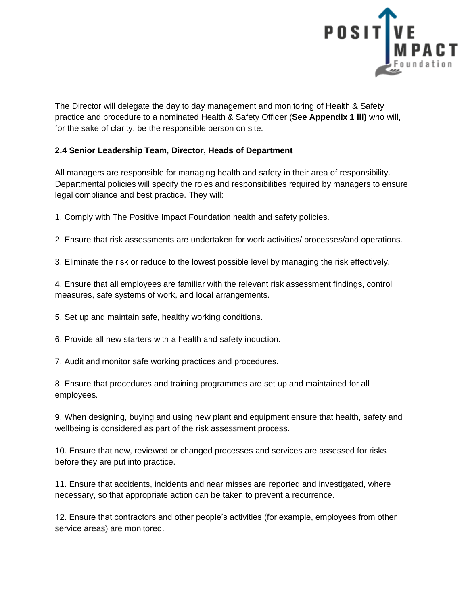

The Director will delegate the day to day management and monitoring of Health & Safety practice and procedure to a nominated Health & Safety Officer (**See Appendix 1 iii)** who will, for the sake of clarity, be the responsible person on site.

## **2.4 Senior Leadership Team, Director, Heads of Department**

All managers are responsible for managing health and safety in their area of responsibility. Departmental policies will specify the roles and responsibilities required by managers to ensure legal compliance and best practice. They will:

1. Comply with The Positive Impact Foundation health and safety policies.

2. Ensure that risk assessments are undertaken for work activities/ processes/and operations.

3. Eliminate the risk or reduce to the lowest possible level by managing the risk effectively.

4. Ensure that all employees are familiar with the relevant risk assessment findings, control measures, safe systems of work, and local arrangements.

5. Set up and maintain safe, healthy working conditions.

6. Provide all new starters with a health and safety induction.

7. Audit and monitor safe working practices and procedures.

8. Ensure that procedures and training programmes are set up and maintained for all employees.

9. When designing, buying and using new plant and equipment ensure that health, safety and wellbeing is considered as part of the risk assessment process.

10. Ensure that new, reviewed or changed processes and services are assessed for risks before they are put into practice.

11. Ensure that accidents, incidents and near misses are reported and investigated, where necessary, so that appropriate action can be taken to prevent a recurrence.

12. Ensure that contractors and other people's activities (for example, employees from other service areas) are monitored.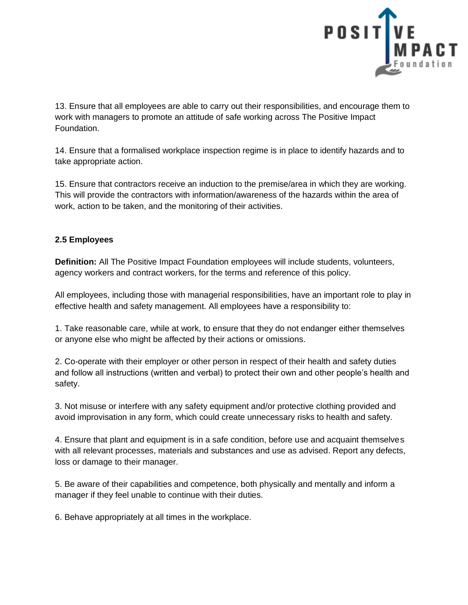

13. Ensure that all employees are able to carry out their responsibilities, and encourage them to work with managers to promote an attitude of safe working across The Positive Impact Foundation.

14. Ensure that a formalised workplace inspection regime is in place to identify hazards and to take appropriate action.

15. Ensure that contractors receive an induction to the premise/area in which they are working. This will provide the contractors with information/awareness of the hazards within the area of work, action to be taken, and the monitoring of their activities.

### **2.5 Employees**

**Definition:** All The Positive Impact Foundation employees will include students, volunteers, agency workers and contract workers, for the terms and reference of this policy.

All employees, including those with managerial responsibilities, have an important role to play in effective health and safety management. All employees have a responsibility to:

1. Take reasonable care, while at work, to ensure that they do not endanger either themselves or anyone else who might be affected by their actions or omissions.

2. Co-operate with their employer or other person in respect of their health and safety duties and follow all instructions (written and verbal) to protect their own and other people's health and safety.

3. Not misuse or interfere with any safety equipment and/or protective clothing provided and avoid improvisation in any form, which could create unnecessary risks to health and safety.

4. Ensure that plant and equipment is in a safe condition, before use and acquaint themselves with all relevant processes, materials and substances and use as advised. Report any defects, loss or damage to their manager.

5. Be aware of their capabilities and competence, both physically and mentally and inform a manager if they feel unable to continue with their duties.

6. Behave appropriately at all times in the workplace.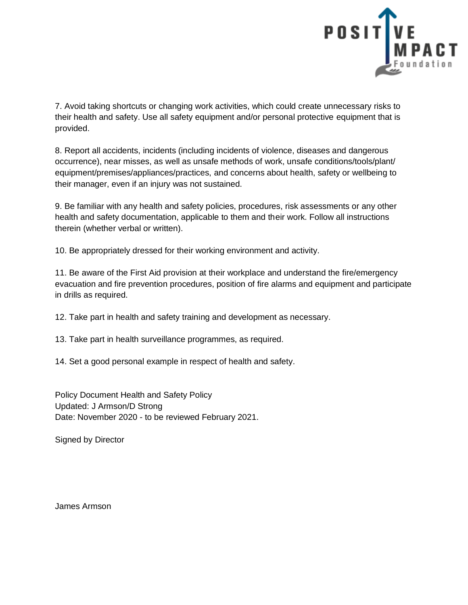

7. Avoid taking shortcuts or changing work activities, which could create unnecessary risks to their health and safety. Use all safety equipment and/or personal protective equipment that is provided.

8. Report all accidents, incidents (including incidents of violence, diseases and dangerous occurrence), near misses, as well as unsafe methods of work, unsafe conditions/tools/plant/ equipment/premises/appliances/practices, and concerns about health, safety or wellbeing to their manager, even if an injury was not sustained.

9. Be familiar with any health and safety policies, procedures, risk assessments or any other health and safety documentation, applicable to them and their work. Follow all instructions therein (whether verbal or written).

10. Be appropriately dressed for their working environment and activity.

11. Be aware of the First Aid provision at their workplace and understand the fire/emergency evacuation and fire prevention procedures, position of fire alarms and equipment and participate in drills as required.

12. Take part in health and safety training and development as necessary.

13. Take part in health surveillance programmes, as required.

14. Set a good personal example in respect of health and safety.

Policy Document Health and Safety Policy Updated: J Armson/D Strong Date: November 2020 - to be reviewed February 2021.

Signed by Director

James Armson